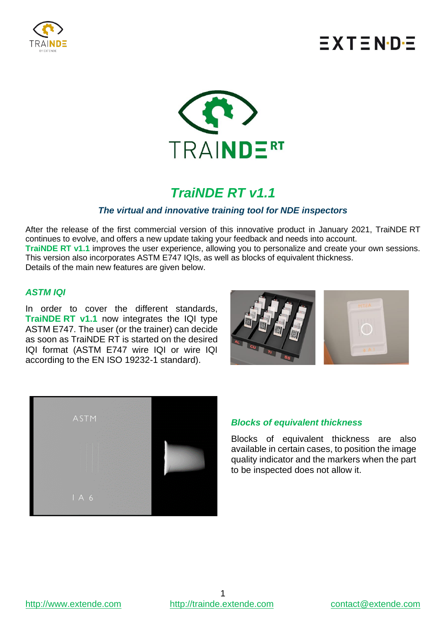

# $\equiv$  X T  $\equiv$  N $\cdot$ D $\cdot$  $\equiv$



### *TraiNDE RT v1.1*

#### *The virtual and innovative training tool for NDE inspectors*

After the release of the first commercial version of this innovative product in January 2021, TraiNDE RT continues to evolve, and offers a new update taking your feedback and needs into account. **TraiNDE RT v1.1** improves the user experience, allowing you to personalize and create your own sessions. This version also incorporates ASTM E747 IQIs, as well as blocks of equivalent thickness. Details of the main new features are given below.

#### *ASTM IQI*

In order to cover the different standards, **TraiNDE RT v1.1** now integrates the IQI type ASTM E747. The user (or the trainer) can decide as soon as TraiNDE RT is started on the desired IQI format (ASTM E747 wire IQI or wire IQI according to the EN ISO 19232-1 standard).





#### *Blocks of equivalent thickness*

Blocks of equivalent thickness are also available in certain cases, to position the image quality indicator and the markers when the part to be inspected does not allow it.